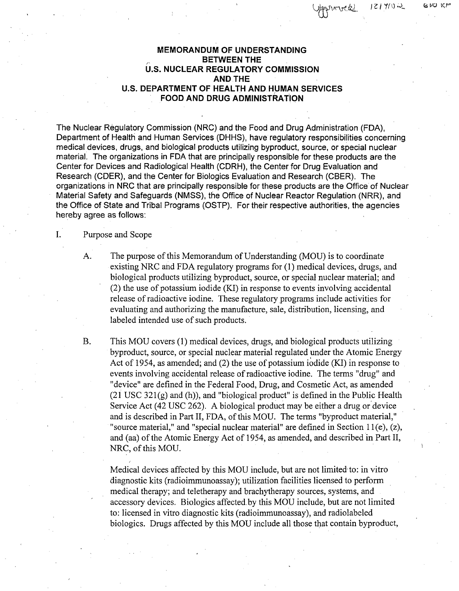Germand 121402

#### GUO KP

## **MEMORANDUM** OF **UNDERSTANDING BETWEEN** THE **U.S. NUCLEAR** REGULATORY **COMMISSION AND THE U.S.** DEPARTMENT OF HEALTH **AND. HUMAN SERVICES** FOOD **AND DRUG ADMINISTRATION**

The Nuclear Regulatory Commission (NRC) and the Food and Drug Administration (FDA), Department of Health and Human Services (DHHS), have regulatory responsibilities concerning. medical devices, drugs, and biological products utilizing byproduct, source, or special nuclear material. The organizations in FDA that are principally responsible for these products are the Center for Devices and Radiological Health (CDRH), the Center for Drug Evaluation and Research (CDER), and the Center for Biologics Evaluation and Research (CBER). The organizations in NRC that are principally responsible for these products are the Office of Nuclear Material Safety and Safeguards (NMSS), the Office of Nuclear Reactor Regulation (NRR), and the Office of State and Tribal Programs (OSTP). For their respective authorities, the agencies hereby agree as follows:

I. Purpose and Scope

- A. The purpose of this Memorandum of Understanding (MOU) is to coordinate existing NRC and FDA regulatory programs for (1) medical devices, drugs, and biological products utilizing byproduct, source, or special nuclear material; and (2) the use of potassium iodide (KI) in response to events involving accidental release of radioactive iodine. These regulatory programs include activities for evaluating and authorizing the manufacture, sale, distribution, licensing, and labeled intended use of such products.
- B. This MOU covers (1) medical devices, drugs, and biological products utilizing byproduct, source, or special nuclear material regulated under the Atomic Energy Act of 1954, as amended; and (2) the use of potassium iodide (KI) in response to events involving accidental release of radioactive iodine. The terms "drug" and "device" are defined in the Federal Food, Drug, and Cosmetic Act, as amended  $(21 \text{ USC } 321(g)$  and (h)), and "biological product" is defined in the Public Health Service Act (42 USC 262). A biological product may be either a drug or device and is described in Part II, FDA, of this MOU. The terms "byproduct material," "source material," and "special nuclear material" are defined in Section  $11(e)$ ,  $(z)$ , and (aa) of the Atomic Energy Act of 1954, as amended, and described in Part II, NRC, of this MOU.

Medical devices affected by this MOU include, but are not limited-to: in vitro diagnostic kits (radioimmunoassay); utilization facilities licensed to perform medical therapy; and teletherapy and brachytherapy sources, systems, and accessory devices. Biologics affected by this MOU include, but are not limited to: licensed in vitro diagnostic kits (radioimmunoassay), and radiolabeled biologics. Drugs affected by this MOU include all those that contain byproduct,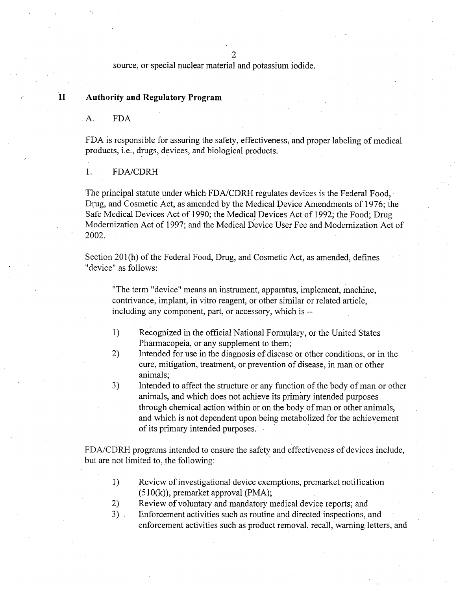2

source, or special nuclear material and potassium iodide.

## **II** Authority and Regulatory Program

**A. FDA**

FDA is responsible for assuring the safety, effectiveness, and proper labeling of medical products, i.e., drugs, devices, and biological products.

1. FDA/CDRH

The principal statute under which FDA/CDRH regulates devices is the Federal Food, Drug, and Cosmetic Act, as amended by the Medical Device Amendments of 1976; the Safe Medical Devices Act of 1990; the Medical Devices Act of 1992; the Food; Drug Modernization Act of 1997; and the Medical Device User Fee and Modernization Act of 2002.

Section 201(h) of the Federal Food, Drug, and Cosmetic Act, as amended, defines "device" as follows:

"The term "device" means an instrument, apparatus, implement, machine, contrivance, implant, in vitro reagent, or other similar or related article, including any component, part, or accessory, which is--

- 1) Recognized in the official National Formulary, or the United States Pharmacopeia, or any supplement to them;
- 2) Intended for use in the diagnosis of disease or other conditions, or in the cure, mitigation, treatment, or prevention of disease, in man or other animals;
- 3) Intended to affect the structure or any function of the body of man or other animals, and which does not achieve its primary intended purposes through chemical action within or on the body of man or other animals, and which is not dependent upon being metabolized for the achievement of its primary intended purposes.

FDA/CDRH programs intended to ensure the safety and effectiveness of devices include, but are not limited to, the following:

- 1) Review of investigational device exemptions, premarket notification (510(k)), premarket approval (PMA);
- 2) Review of voluntary and mandatory medical device reports; and
- 3) Enforcement activities such as routine and directed inspections, and enforcement activities such as product removal, recall, warning letters, and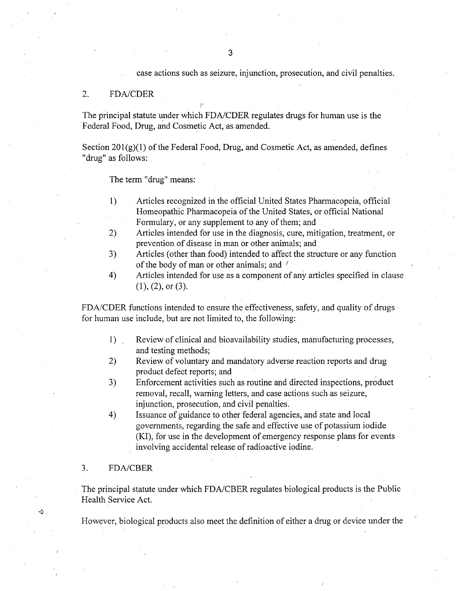### case actions such as seizure, injunction, prosecution, and civil penalties.

#### 2. FDA/CDER

The principal statute under which FDA/CDER regulates drugs for human use is the Federal Food, Drug, and Cosmetic Act, as amended.

Section  $201(g)(1)$  of the Federal Food, Drug, and Cosmetic Act, as amended, defines "drug" as follows:

The term "drug" means:

- 1) Articles recognized in the official United States Pharmacopeia, official Homeopathic Pharmacopeia of the United States, or official National Formulary, or any supplement to any of them; and
- 2) Articles intended for use in the diagnosis, cure, mitigation, treatment, or prevention of disease in man or other animals; and
- 3) Articles (other than food) intended to affect the structure or any function of the body of man or other animals; and /
- 4) Articles intended for use as a component of any articles specified in clause (1), (2), or (3).

FDA/CDER functions intended to ensure the effectiveness, safety, and quality of drugs for human use include, but are not limited to, the following:

- 1) Review of clinical and bioavaiiability studies, manufacturing processes, and testing methods;
- 2) Review of voluntary and mandatory adverse reaction reports and drug product defect reports; and
- *3)* Enforcement activities such as routine and directed inspections, product removal, recall, warning letters, and case actions such as seizure, injunction, prosecution, and civil penalties.
- 4) Issuance of guidance to other federal agencies, and state and local governments, regarding the safe and effective use of potassium iodide (KI), for use in the development of emergency response plans for events involving accidental release of radioactive iodine.

## 3. FDA/CBER

The principal statute under which FDA/CBER regulates biological products is the Public Health Service Act.

However, biological products also meet the definition of either a drug or device under the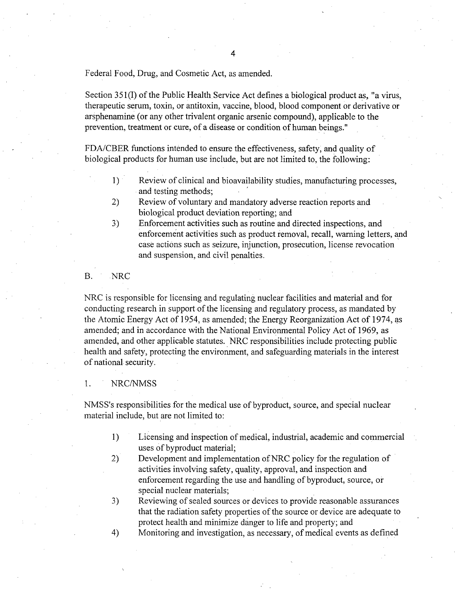Federal Food, Drug, and Cosmetic Act, as amended.

Section **351** (I) of the Public Health Service Act defines a biological product as, "a virus, therapeutic serum, toxin, or antitoxin, vaccine, blood, blood component or derivative or arsphenamine (or any other trivalent organic arsenic compound), applicable to the prevention, treatment or cure, of a disease or condition of human beings."

FDA/CBER functions intended to ensure the effectiveness, safety, and quality of biological products for human use include, but are not limited to, the following:

- 1) Review of clinical and bioavailability studies, manufacturing processes, and testing methods;
- 2) Review of voluntary and mandatory adverse reaction reports and biological product deviation reporting; and
- 3) Enforcement activities such as routine and directed inspections, and enforcement activities such as product removal, recall, warning letters, and case actions such as seizure, injunction, prosecution, license revocation and suspension, and civil penalties.
- B. NRC

NRC is responsible for licensing and regulating nuclear facilities and material and for conducting research in support of the licensing and regulatory process, as mandated by the Atomic Energy Act of 1954, as amended; the Energy Reorganization Act of 1974, as amended; and in accordance with the National Environmental Policy Act of 1969, as amended, and other applicable statutes. NRC responsibilities include protecting public health and safety, protecting the environment, and safeguarding materials in the interest of national security.

#### 1. NRC/NMSS

NMSS's responsibilities for the medical use of byproduct, source, and special nuclear material include, but are not limited to:

- 1) Licensing and inspection of medical, industrial, academic and commercial uses of byproduct material;
- 2) Development and implementation of NRC policy for the regulation of activities involving safety, quality, approval, and inspection and enforcement regarding the use and handling of byproduct, source, or special nuclear materials;
- *3)* Reviewing of sealed sources or devices to provide reasonable assurances that the radiation safety properties of the source or device are adequate to protect health and minimize danger to life and property; and
- 4) Monitoring and investigation, as necessary, of medical events as defined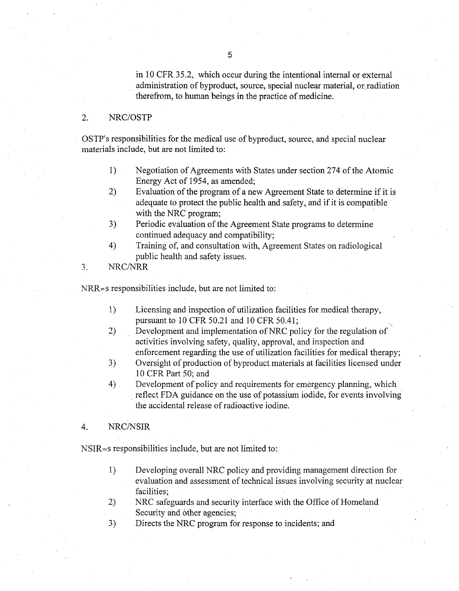in 10 CFR 35.2, which occur during the intentional internal or external administration of byproduct, source, special nuclear material, or $\alpha$  radiation therefrom, to human beings in the practice of medicine.

#### 2. NRC/OSTP

OSTP's responsibilities for the medical use of byproduct, source, and special nuclear materials include, but are not limited to:

- 1) Negotiation of Agreements with States under section 274 of the Atomic Energy Act of 1954, as amended;
- 2) Evaluation of the program of a new Agreement State to determine if it is adequate to protect the public health and safety, and if it is compatible with the NRC program;
- 3) Periodic evaluation of the Agreement State programs to determine continued adequacy and compatibility;
- 4) Training of, and consultation with, Agreement States on radiological public health and safety issues.
- *3.* NRC/NRR

 $NRR = s$  responsibilities include, but are not limited to:

- 1) Licensing and inspection of utilization facilities for medical therapy, pursuant to 10 CFR 50.21 and 10 CFR 50.41;
- 2) Development and implementation of NRC policy for the regulation of activities involving safety, quality, approval, and inspection and enforcement regarding the use of utilization facilities for medical therapy;
- 3) Oversight of production of byproduct materials at facilities licensed under 10 CFR Part 50; and
- 4) Development of policy and requirements for emergency planning, which reflect FDA guidance on the use of potassium iodide, for events involving the accidental release of radioactive iodine.

#### 4. NRC/NSIR

NSIR=s responsibilities include, but are not limited to:

- 1) Developing overall NRC policy and providing management direction for evaluation and assessment of technical issues involving security at nuclear facilities;
- 2) NRC safeguards and security interface with the Office of Homeland Security and other agencies;
- 3) Directs the NRC program for response to incidents; and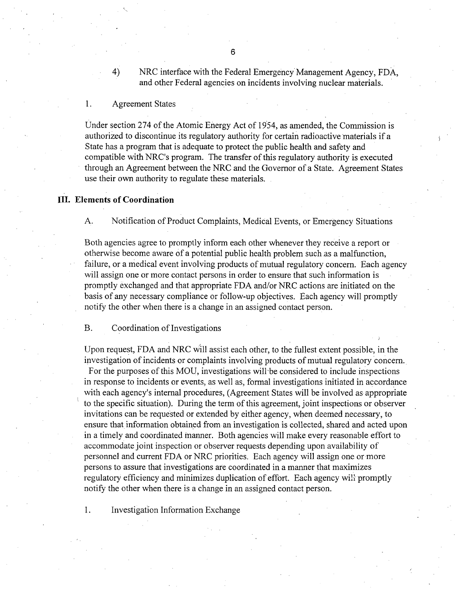4) NRC interface with the Federal Emergency Management Agency, FDA, and other Federal agencies on incidents involving nuclear materials.

1. Agreement States

Under section 274 of the Atomic Energy Act of 19'54, as amended, the Commission is authorized to discontinue its regulatory authority for certain radioactive materials if a State has a program that is adequate to protect the public health and safety and compatible with NRC's program. The transfer of this regulatory authority is executed through an Agreement between the NRC and the Governor of a State. Agreement States use their own authority to regulate these materials.

#### **Ill.** Elements of Coordination

**A.** Notification of Product Complaints, Medical Events, or Emergency Situations

Both agencies agree to promptly inform each other whenever they receive a report or otherwise become aware of a potential public health problem such as a malfunction, failure, or a medical event involving products of mutual regulatory concern. Each agency will assign one or more contact persons in order to ensure that such information is promptly exchanged and that appropriate FDA and/or NRC actions are initiated on the basis of any necessary compliance or follow-up objectives. Each agency will promptly notify the other when there is a change in an assigned contact person.

B. Coordination of Investigations

Upon request, FDA and NRC will assist each other, to the fullest extent possible, in the investigation of incidents or complaints involving products of mutual regulatory concern.

For the purposes of this MOU, investigations will-be considered to include inspections in response to incidents or events, as well as, formal investigations initiated in accordance with each agency's internal procedures, (Agreement States will be involved as appropriate to the specific situation). During the term of this agreement, joint inspections or observer invitations can be requested or extended by either agency, when deemed necessary, to ensure that information obtained from an investigation is collected, shared and acted upon in a timely and coordinated manner. Both agencies will make every reasonable effort to accommodate joint inspection or observer requests depending upon availability of personnel and current FDA or NRC priorities. Each agency will assign one or more persons to assure that investigations are coordinated in a manner that maximizes regulatory efficiency and minimizes duplication of effort. Each agency will promptly notify the other when there is a change in an assigned contact person.

1. Investigation Information Exchange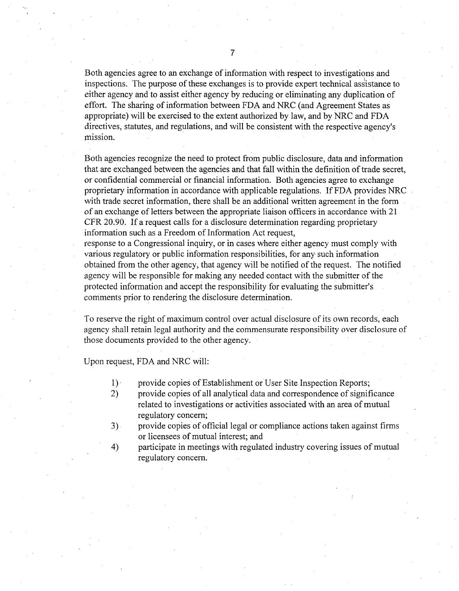Both agencies agree to an exchange of information with respect to investigations and inspections. The purpose of these exchanges is to provide expert technical assistance to either agency and to assist either agency by reducing or eliminating any duplication of effort. The sharing of information between FDA and NRC (and Agreement States as appropriate) will be exercised to the extent authorized by law, and by NRC and FDA directives, statutes, and regulations, and will be consistent with the respective agency's mission.

Both agencies recognize the need to protect from public disclosure, data and information that are exchanged between the agencies and that fall within the definition of trade secret, or confidential commercial or financial information. Both agencies agree to exchange proprietary information in accordance with applicable regulations. If FDA provides NRC with trade secret information, there shall be an additional written agreement in the form of an exchange of letters between the appropriate liaison officers in accordance with 21 CFR 20.90. If a request calls for a disclosure determination regarding proprietary information such as a Freedom of Information Act request,

response to a Congressional inquiry, or in cases where either agency must comply with various regulatory or public information responsibilities, for any such information obtained from the other agency, that agency will be notified of the request. The notified agency will be responsible for making any needed contact with the submitter of the protected information and accept the responsibility for evaluating the submitter's comments prior to rendering the disclosure determination.

To reserve the right of maximum control over actual disclosure of its own records, each agency shall retain legal authority and the commensurate responsibility over disclosure of those documents provided to the other agency.

Upon request, FDA and NRC will:

- 1)' provide copies of Establishment or User Site Inspection Reports;
- 2) provide copies of all analytical data and correspondence of significance related to investigations or activities associated with an area of mutual regulatory concern;
- 3) provide copies of official legal or compliance actions taken against firms or licensees of mutual interest; and
- 4) participate in meetings with regulated industry covering issues of mutual regulatory concern.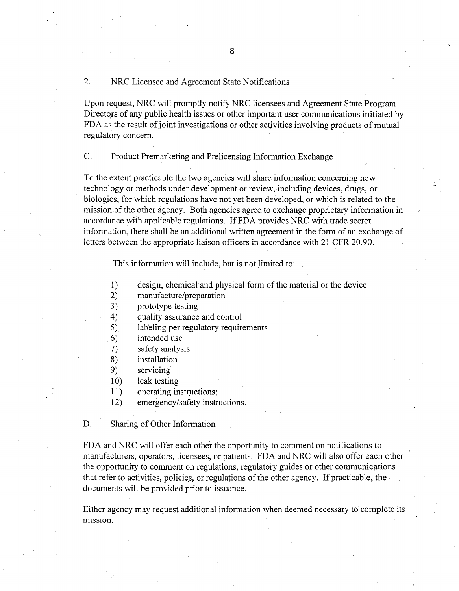## 2. NRC Licensee and Agreement State Notifications

Upon request, NRC will promptly notify NRC licensees and Agreement State Program Directors of any public health issues or other important user communications initiated by FDA as the result of joint investigations or other activities involving products of mutual regulatory concern.

C. Product Premarketing and Prelicensing Information Exchange

To the extent practicable the two agencies will share information concerning new technology or methods under development or review, including devices, drugs, or biologics, for which regulations have not yet been developed, or which is related to the mission of the other agency. Both agencies agree to exchange proprietary information in accordance with applicable regulations. If FDA provides NRC with trade secret infornnation, there shall be an additional written agreement in the form of an exchange of letters between the appropriate liaison officers in accordance with 21 CFR 20.90.

This information will include, but is not limited to:

- 1) design, chemical and physical form of the material or the device
- 2) manufacture/preparation
- 3) prototype testing
- 4) quality assurance and control
- *5),* labeling per regulatory requirements
- .6) intended use
- 7) safety analysis
- 8) installation
- 9) servicing
- 10) leak testing
- 11) operating instructions;
- 12) emergency/safety instructions.

D. Sharing of Other Information

FDA and NRC will offer each other the opportunity to comment on notifications to manufacturers, operators, licensees, or patients. FDA and NRC will also offer each other the opportunity to comment on regulations, regulatory guides or other communications that refer to activities, policies, or regulations of the other agency. If practicable, the documents will be provided prior to issuance.

Either agency may request additional information when deemed necessary to complete its mission.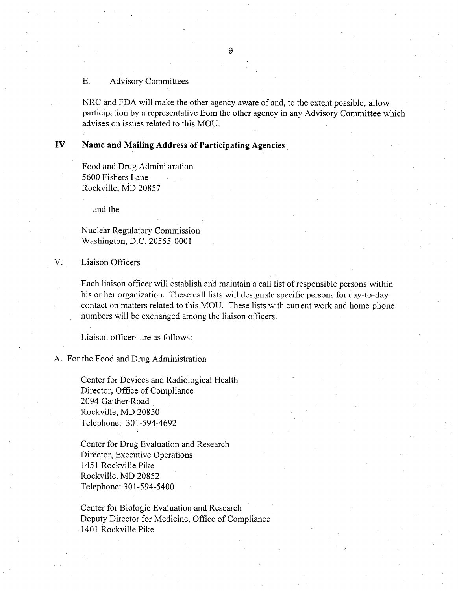#### E. Advisory Committees

NRC and FDA will make the other agency aware of and, to the extent possible, allow participation by a representative from the other agency in any Advisory Committee which advises on issues related to this MOU.

## IV Name and Mailing Address of Participating Agencies

Food and Drug Administration 5600 Fishers Lane Rockville, MD 20857

and the

Nuclear Regulatory Commission Washington, D.C. 20555-0001

V. Liaison Officers

Each liaison officer will establish and maintain a call list of responsible persons within his or her organization. These call lists will designate specific persons for day-to-day contact on matters related to this MOU. These lists with current work and home phone numbers will be exchanged among the liaison officers.

Liaison officers are as follows:

A. For the Food and Drug Administration

Center for Devices and Radiological Health Director, Office of Compliance 2094 Gaither Road Rockville, MD 20850 Telephone: 301-594-4692

Center for Drug Evaluation and Research Director, Executive Operations 1451 Rockville Pike Rockville, MD 20852 Telephone: 301-594-5400

Center for Biologic Evaluation and Research Deputy Director for Medicine, Office of Compliance 1401 Rockville Pike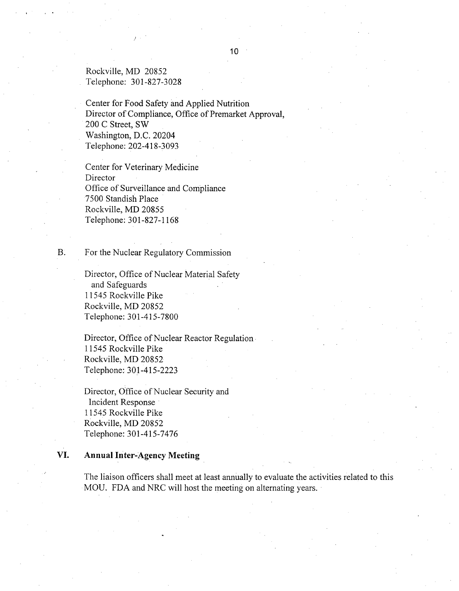Rockville, MD 20852 Telephone: 301-827-3028

Center for Food Safety and Applied Nutrition Director of Compliance, Office of Premarket Approval, 200 C Street, SW Washington, D.C. 20204 Telephone: 202-418-3093

Center for Veterinary Medicine Director Office of Surveillance and Compliance 7500 Standish Place Rockville, MD 20855 Telephone: 301-827-1168

B. For the Nuclear Regulatory Commission

Director, Office of Nuclear Material Safety and Safeguards 11545 Rockville Pike Rockville, MD 20852 Telephone: 301-415-7800

Director, Office of Nuclear Reactor Regulation, 11545 Rockville Pike Rockville, MD 20852 Telephone: 301-415-2223

Director, Office of Nuclear Security and Incident Response 11545 Rockville Pike Rockville, MD 20852 Telephone: 301-415-7476

## **VI.** Annual Inter-Agency Meeting

The liaison officers shall meet at least annually to evaluate the activities related to this MOU. FDA and NRC will host the meeting on alternating years.